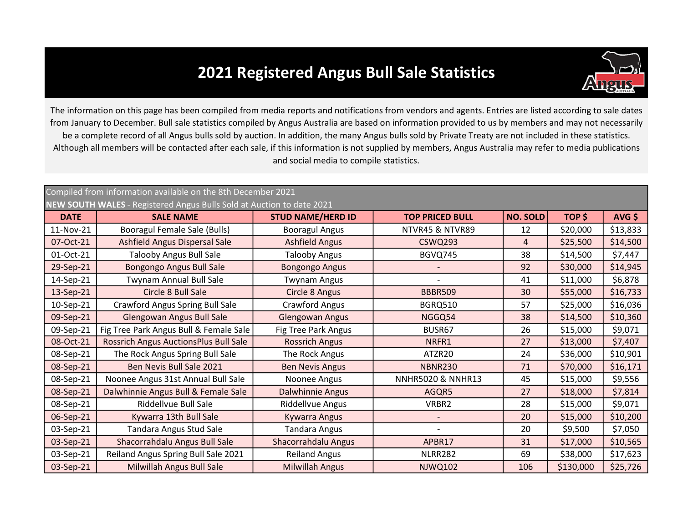## 2021 Registered Angus Bull Sale Statistics



The information on this page has been compiled from media reports and notifications from vendors and agents. Entries are listed according to sale dates from January to December. Bull sale statistics compiled by Angus Australia are based on information provided to us by members and may not necessarily be a complete record of all Angus bulls sold by auction. In addition, the many Angus bulls sold by Private Treaty are not included in these statistics. Although all members will be contacted after each sale, if this information is not supplied by members, Angus Australia may refer to media publications and social media to compile statistics.

| Compiled from information available on the 8th December 2021<br><b>NEW SOUTH WALES</b> - Registered Angus Bulls Sold at Auction to date 2021 |                                              |                          |                              |                 |           |          |  |
|----------------------------------------------------------------------------------------------------------------------------------------------|----------------------------------------------|--------------------------|------------------------------|-----------------|-----------|----------|--|
| <b>DATE</b>                                                                                                                                  | <b>SALE NAME</b>                             | <b>STUD NAME/HERD ID</b> | <b>TOP PRICED BULL</b>       | <b>NO. SOLD</b> | TOP \$    | $AVG$ \$ |  |
| 11-Nov-21                                                                                                                                    | Booragul Female Sale (Bulls)                 | <b>Booragul Angus</b>    | NTVR45 & NTVR89              | 12              | \$20,000  | \$13,833 |  |
| 07-Oct-21                                                                                                                                    | <b>Ashfield Angus Dispersal Sale</b>         | <b>Ashfield Angus</b>    | <b>CSWQ293</b>               | 4               | \$25,500  | \$14,500 |  |
| 01-Oct-21                                                                                                                                    | <b>Talooby Angus Bull Sale</b>               | <b>Talooby Angus</b>     | BGVQ745                      | 38              | \$14,500  | \$7,447  |  |
| 29-Sep-21                                                                                                                                    | Bongongo Angus Bull Sale                     | <b>Bongongo Angus</b>    |                              | 92              | \$30,000  | \$14,945 |  |
| 14-Sep-21                                                                                                                                    | Twynam Annual Bull Sale                      | <b>Twynam Angus</b>      |                              | 41              | \$11,000  | \$6,878  |  |
| 13-Sep-21                                                                                                                                    | Circle 8 Bull Sale                           | Circle 8 Angus           | <b>BBBR509</b>               | 30              | \$55,000  | \$16,733 |  |
| 10-Sep-21                                                                                                                                    | <b>Crawford Angus Spring Bull Sale</b>       | Crawford Angus           | <b>BGRQ510</b>               | 57              | \$25,000  | \$16,036 |  |
| 09-Sep-21                                                                                                                                    | Glengowan Angus Bull Sale                    | <b>Glengowan Angus</b>   | NGGQ54                       | 38              | \$14,500  | \$10,360 |  |
| 09-Sep-21                                                                                                                                    | Fig Tree Park Angus Bull & Female Sale       | Fig Tree Park Angus      | BUSR67                       | 26              | \$15,000  | \$9,071  |  |
| 08-Oct-21                                                                                                                                    | <b>Rossrich Angus AuctionsPlus Bull Sale</b> | <b>Rossrich Angus</b>    | NRFR1                        | 27              | \$13,000  | \$7,407  |  |
| 08-Sep-21                                                                                                                                    | The Rock Angus Spring Bull Sale              | The Rock Angus           | ATZR20                       | 24              | \$36,000  | \$10,901 |  |
| 08-Sep-21                                                                                                                                    | Ben Nevis Bull Sale 2021                     | <b>Ben Nevis Angus</b>   | <b>NBNR230</b>               | 71              | \$70,000  | \$16,171 |  |
| 08-Sep-21                                                                                                                                    | Noonee Angus 31st Annual Bull Sale           | Noonee Angus             | <b>NNHR5020 &amp; NNHR13</b> | 45              | \$15,000  | \$9,556  |  |
| 08-Sep-21                                                                                                                                    | Dalwhinnie Angus Bull & Female Sale          | Dalwhinnie Angus         | AGQR5                        | 27              | \$18,000  | \$7,814  |  |
| 08-Sep-21                                                                                                                                    | Riddellvue Bull Sale                         | Riddellvue Angus         | VRBR2                        | 28              | \$15,000  | \$9,071  |  |
| 06-Sep-21                                                                                                                                    | Kywarra 13th Bull Sale                       | <b>Kywarra Angus</b>     |                              | 20              | \$15,000  | \$10,200 |  |
| 03-Sep-21                                                                                                                                    | Tandara Angus Stud Sale                      | <b>Tandara Angus</b>     |                              | 20              | \$9,500   | \$7,050  |  |
| 03-Sep-21                                                                                                                                    | Shacorrahdalu Angus Bull Sale                | Shacorrahdalu Angus      | APBR17                       | 31              | \$17,000  | \$10,565 |  |
| 03-Sep-21                                                                                                                                    | Reiland Angus Spring Bull Sale 2021          | <b>Reiland Angus</b>     | <b>NLRR282</b>               | 69              | \$38,000  | \$17,623 |  |
| 03-Sep-21                                                                                                                                    | Milwillah Angus Bull Sale                    | <b>Milwillah Angus</b>   | <b>NJWQ102</b>               | 106             | \$130,000 | \$25,726 |  |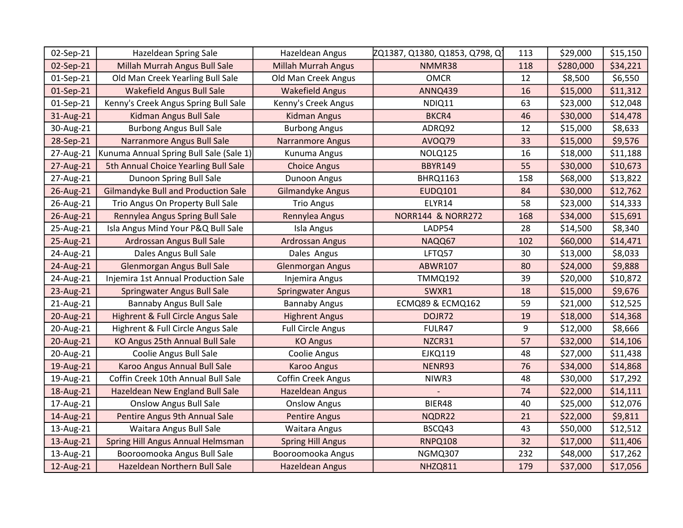| 02-Sep-21 | Hazeldean Spring Sale                   | Hazeldean Angus            | ZQ1387, Q1380, Q1853, Q798, Q1 | 113 | \$29,000  | \$15,150 |
|-----------|-----------------------------------------|----------------------------|--------------------------------|-----|-----------|----------|
| 02-Sep-21 | Millah Murrah Angus Bull Sale           | <b>Millah Murrah Angus</b> | NMMR38                         | 118 | \$280,000 | \$34,221 |
| 01-Sep-21 | Old Man Creek Yearling Bull Sale        | Old Man Creek Angus        | <b>OMCR</b>                    | 12  | \$8,500   | \$6,550  |
| 01-Sep-21 | <b>Wakefield Angus Bull Sale</b>        | <b>Wakefield Angus</b>     | <b>ANNQ439</b>                 | 16  | \$15,000  | \$11,312 |
| 01-Sep-21 | Kenny's Creek Angus Spring Bull Sale    | Kenny's Creek Angus        | NDIQ11                         | 63  | \$23,000  | \$12,048 |
| 31-Aug-21 | Kidman Angus Bull Sale                  | <b>Kidman Angus</b>        | BKCR4                          | 46  | \$30,000  | \$14,478 |
| 30-Aug-21 | <b>Burbong Angus Bull Sale</b>          | <b>Burbong Angus</b>       | ADRQ92                         | 12  | \$15,000  | \$8,633  |
| 28-Sep-21 | Narranmore Angus Bull Sale              | <b>Narranmore Angus</b>    | AVOQ79                         | 33  | \$15,000  | \$9,576  |
| 27-Aug-21 | Kunuma Annual Spring Bull Sale (Sale 1) | Kunuma Angus               | NOLQ125                        | 16  | \$18,000  | \$11,188 |
| 27-Aug-21 | 5th Annual Choice Yearling Bull Sale    | <b>Choice Angus</b>        | <b>BBYR149</b>                 | 55  | \$30,000  | \$10,673 |
| 27-Aug-21 | Dunoon Spring Bull Sale                 | Dunoon Angus               | <b>BHRQ1163</b>                | 158 | \$68,000  | \$13,822 |
| 26-Aug-21 | Gilmandyke Bull and Production Sale     | Gilmandyke Angus           | <b>EUDQ101</b>                 | 84  | \$30,000  | \$12,762 |
| 26-Aug-21 | Trio Angus On Property Bull Sale        | <b>Trio Angus</b>          | ELYR14                         | 58  | \$23,000  | \$14,333 |
| 26-Aug-21 | Rennylea Angus Spring Bull Sale         | Rennylea Angus             | <b>NORR144 &amp; NORR272</b>   | 168 | \$34,000  | \$15,691 |
| 25-Aug-21 | Isla Angus Mind Your P&Q Bull Sale      | Isla Angus                 | LADP54                         | 28  | \$14,500  | \$8,340  |
| 25-Aug-21 | Ardrossan Angus Bull Sale               | Ardrossan Angus            | NAQQ67                         | 102 | \$60,000  | \$14,471 |
| 24-Aug-21 | Dales Angus Bull Sale                   | Dales Angus                | LFTQ57                         | 30  | \$13,000  | \$8,033  |
| 24-Aug-21 | Glenmorgan Angus Bull Sale              | <b>Glenmorgan Angus</b>    | <b>ABWR107</b>                 | 80  | \$24,000  | \$9,888  |
| 24-Aug-21 | Injemira 1st Annual Production Sale     | Injemira Angus             | <b>TMMQ192</b>                 | 39  | \$20,000  | \$10,872 |
| 23-Aug-21 | <b>Springwater Angus Bull Sale</b>      | <b>Springwater Angus</b>   | SWXR1                          | 18  | \$15,000  | \$9,676  |
| 21-Aug-21 | <b>Bannaby Angus Bull Sale</b>          | <b>Bannaby Angus</b>       | ECMQ89 & ECMQ162               | 59  | \$21,000  | \$12,525 |
| 20-Aug-21 | Highrent & Full Circle Angus Sale       | <b>Highrent Angus</b>      | DOJR72                         | 19  | \$18,000  | \$14,368 |
| 20-Aug-21 | Highrent & Full Circle Angus Sale       | <b>Full Circle Angus</b>   | FULR47                         | 9   | \$12,000  | \$8,666  |
| 20-Aug-21 | KO Angus 25th Annual Bull Sale          | <b>KO Angus</b>            | NZCR31                         | 57  | \$32,000  | \$14,106 |
| 20-Aug-21 | Coolie Angus Bull Sale                  | Coolie Angus               | <b>EJKQ119</b>                 | 48  | \$27,000  | \$11,438 |
| 19-Aug-21 | Karoo Angus Annual Bull Sale            | <b>Karoo Angus</b>         | NENR93                         | 76  | \$34,000  | \$14,868 |
| 19-Aug-21 | Coffin Creek 10th Annual Bull Sale      | <b>Coffin Creek Angus</b>  | NIWR3                          | 48  | \$30,000  | \$17,292 |
| 18-Aug-21 | Hazeldean New England Bull Sale         | <b>Hazeldean Angus</b>     |                                | 74  | \$22,000  | \$14,111 |
| 17-Aug-21 | <b>Onslow Angus Bull Sale</b>           | <b>Onslow Angus</b>        | BIER48                         | 40  | \$25,000  | \$12,076 |
| 14-Aug-21 | Pentire Angus 9th Annual Sale           | <b>Pentire Angus</b>       | NQDR22                         | 21  | \$22,000  | \$9,811  |
| 13-Aug-21 | Waitara Angus Bull Sale                 | Waitara Angus              | BSCQ43                         | 43  | \$50,000  | \$12,512 |
| 13-Aug-21 | Spring Hill Angus Annual Helmsman       | <b>Spring Hill Angus</b>   | <b>RNPQ108</b>                 | 32  | \$17,000  | \$11,406 |
| 13-Aug-21 | Booroomooka Angus Bull Sale             | Booroomooka Angus          | NGMQ307                        | 232 | \$48,000  | \$17,262 |
| 12-Aug-21 | Hazeldean Northern Bull Sale            | <b>Hazeldean Angus</b>     | NHZQ811                        | 179 | \$37,000  | \$17,056 |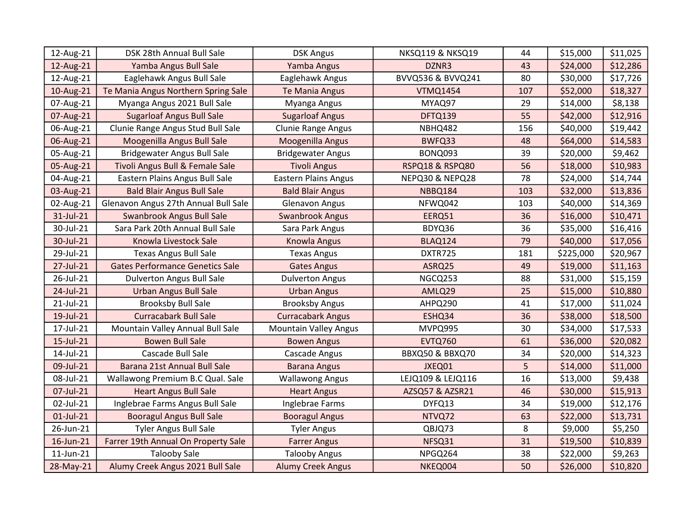| 12-Aug-21       | DSK 28th Annual Bull Sale              | <b>DSK Angus</b>             | NKSQ119 & NKSQ19  | 44  | \$15,000  | \$11,025 |
|-----------------|----------------------------------------|------------------------------|-------------------|-----|-----------|----------|
| 12-Aug-21       | Yamba Angus Bull Sale                  | Yamba Angus                  | DZNR3             | 43  | \$24,000  | \$12,286 |
| 12-Aug-21       | Eaglehawk Angus Bull Sale              | Eaglehawk Angus              | BVVQ536 & BVVQ241 | 80  | \$30,000  | \$17,726 |
| 10-Aug-21       | Te Mania Angus Northern Spring Sale    | Te Mania Angus               | <b>VTMQ1454</b>   | 107 | \$52,000  | \$18,327 |
| 07-Aug-21       | Myanga Angus 2021 Bull Sale            | Myanga Angus                 | MYAQ97            | 29  | \$14,000  | \$8,138  |
| 07-Aug-21       | <b>Sugarloaf Angus Bull Sale</b>       | <b>Sugarloaf Angus</b>       | DFTQ139           | 55  | \$42,000  | \$12,916 |
| 06-Aug-21       | Clunie Range Angus Stud Bull Sale      | Clunie Range Angus           | NBHQ482           | 156 | \$40,000  | \$19,442 |
| 06-Aug-21       | Moogenilla Angus Bull Sale             | Moogenilla Angus             | BWFQ33            | 48  | \$64,000  | \$14,583 |
| 05-Aug-21       | <b>Bridgewater Angus Bull Sale</b>     | <b>Bridgewater Angus</b>     | BONQ093           | 39  | \$20,000  | \$9,462  |
| 05-Aug-21       | Tivoli Angus Bull & Female Sale        | <b>Tivoli Angus</b>          | RSPQ18 & RSPQ80   | 56  | \$18,000  | \$10,983 |
| 04-Aug-21       | Eastern Plains Angus Bull Sale         | <b>Eastern Plains Angus</b>  | NEPQ30 & NEPQ28   | 78  | \$24,000  | \$14,744 |
| 03-Aug-21       | <b>Bald Blair Angus Bull Sale</b>      | <b>Bald Blair Angus</b>      | NBBQ184           | 103 | \$32,000  | \$13,836 |
| 02-Aug-21       | Glenavon Angus 27th Annual Bull Sale   | <b>Glenavon Angus</b>        | NFWQ042           | 103 | \$40,000  | \$14,369 |
| 31-Jul-21       | Swanbrook Angus Bull Sale              | <b>Swanbrook Angus</b>       | EERQ51            | 36  | \$16,000  | \$10,471 |
| 30-Jul-21       | Sara Park 20th Annual Bull Sale        | Sara Park Angus              | BDYQ36            | 36  | \$35,000  | \$16,416 |
| 30-Jul-21       | Knowla Livestock Sale                  | Knowla Angus                 | BLAQ124           | 79  | \$40,000  | \$17,056 |
| 29-Jul-21       | <b>Texas Angus Bull Sale</b>           | <b>Texas Angus</b>           | DXTR725           | 181 | \$225,000 | \$20,967 |
| 27-Jul-21       | <b>Gates Performance Genetics Sale</b> | <b>Gates Angus</b>           | ASRQ25            | 49  | \$19,000  | \$11,163 |
| 26-Jul-21       | <b>Dulverton Angus Bull Sale</b>       | <b>Dulverton Angus</b>       | NGCQ253           | 88  | \$31,000  | \$15,159 |
| 24-Jul-21       | <b>Urban Angus Bull Sale</b>           | <b>Urban Angus</b>           | AMLQ29            | 25  | \$15,000  | \$10,880 |
| 21-Jul-21       | <b>Brooksby Bull Sale</b>              | <b>Brooksby Angus</b>        | AHPQ290           | 41  | \$17,000  | \$11,024 |
| 19-Jul-21       | <b>Curracabark Bull Sale</b>           | <b>Curracabark Angus</b>     | ESHQ34            | 36  | \$38,000  | \$18,500 |
| 17-Jul-21       | Mountain Valley Annual Bull Sale       | <b>Mountain Valley Angus</b> | MVPQ995           | 30  | \$34,000  | \$17,533 |
| 15-Jul-21       | <b>Bowen Bull Sale</b>                 | <b>Bowen Angus</b>           | <b>EVTQ760</b>    | 61  | \$36,000  | \$20,082 |
| 14-Jul-21       | Cascade Bull Sale                      | Cascade Angus                | BBXQ50 & BBXQ70   | 34  | \$20,000  | \$14,323 |
| 09-Jul-21       | Barana 21st Annual Bull Sale           | <b>Barana Angus</b>          | JXEQ01            | 5   | \$14,000  | \$11,000 |
| 08-Jul-21       | Wallawong Premium B.C Qual. Sale       | <b>Wallawong Angus</b>       | LEJQ109 & LEJQ116 | 16  | \$13,000  | \$9,438  |
| 07-Jul-21       | <b>Heart Angus Bull Sale</b>           | <b>Heart Angus</b>           | AZSQ57 & AZSR21   | 46  | \$30,000  | \$15,913 |
| 02-Jul-21       | Inglebrae Farms Angus Bull Sale        | Inglebrae Farms              | DYFQ13            | 34  | \$19,000  | \$12,176 |
| $01$ -Jul-21    | <b>Booragul Angus Bull Sale</b>        | <b>Booragul Angus</b>        | NTVQ72            | 63  | \$22,000  | \$13,731 |
| 26-Jun-21       | <b>Tyler Angus Bull Sale</b>           | <b>Tyler Angus</b>           | QBJQ73            | 8   | \$9,000   | \$5,250  |
| 16-Jun-21       | Farrer 19th Annual On Property Sale    | <b>Farrer Angus</b>          | NFSQ31            | 31  | \$19,500  | \$10,839 |
| $11$ -Jun- $21$ | <b>Talooby Sale</b>                    | <b>Talooby Angus</b>         | NPGQ264           | 38  | \$22,000  | \$9,263  |
| 28-May-21       | Alumy Creek Angus 2021 Bull Sale       | <b>Alumy Creek Angus</b>     | NKEQ004           | 50  | \$26,000  | \$10,820 |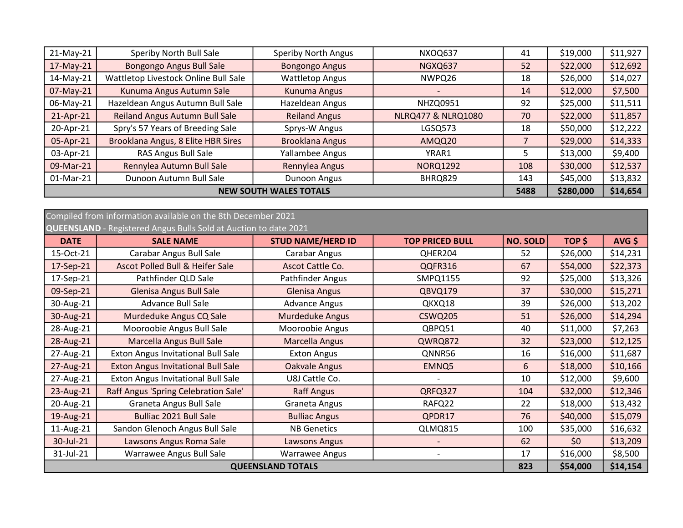| $21-May-21$                   | Speriby North Bull Sale              | <b>Speriby North Angus</b> | NXOQ637                       | 41  | \$19,000  | \$11,927 |
|-------------------------------|--------------------------------------|----------------------------|-------------------------------|-----|-----------|----------|
| $17-May-21$                   | Bongongo Angus Bull Sale             | <b>Bongongo Angus</b>      | NGXQ637                       | 52  | \$22,000  | \$12,692 |
| 14-May-21                     | Wattletop Livestock Online Bull Sale | <b>Wattletop Angus</b>     | NWPQ26                        | 18  | \$26,000  | \$14,027 |
| 07-May-21                     | Kunuma Angus Autumn Sale             | Kunuma Angus               |                               | 14  | \$12,000  | \$7,500  |
| 06-May-21                     | Hazeldean Angus Autumn Bull Sale     | Hazeldean Angus            | <b>NHZQ0951</b>               | 92  | \$25,000  | \$11,511 |
| 21-Apr-21                     | Reiland Angus Autumn Bull Sale       | <b>Reiland Angus</b>       | <b>NLRQ477 &amp; NLRQ1080</b> | 70  | \$22,000  | \$11,857 |
| 20-Apr-21                     | Spry's 57 Years of Breeding Sale     | Sprys-W Angus              | LGSQ573                       | 18  | \$50,000  | \$12,222 |
| 05-Apr-21                     | Brooklana Angus, 8 Elite HBR Sires   | <b>Brooklana Angus</b>     | AMQQ20                        |     | \$29,000  | \$14,333 |
| 03-Apr-21                     | RAS Angus Bull Sale                  | Yallambee Angus            | YRAR1                         | 5   | \$13,000  | \$9,400  |
| 09-Mar-21                     | Rennylea Autumn Bull Sale            | Rennylea Angus             | <b>NORQ1292</b>               | 108 | \$30,000  | \$12,537 |
| 01-Mar-21                     | Dunoon Autumn Bull Sale              | Dunoon Angus               | BHRQ829                       | 143 | \$45,000  | \$13,832 |
| <b>NEW SOUTH WALES TOTALS</b> |                                      |                            |                               |     | \$280,000 | \$14,654 |

## QUEENSLAND - Registered Angus Bulls Sold at Auction to date 2021 Compiled from information available on the 8th December 2021

| <b>DATE</b> | <b>SALE NAME</b>                           | <b>STUD NAME/HERD ID</b> | <b>TOP PRICED BULL</b> | <b>NO. SOLD</b> | TOP \$   | $AVG$ \$ |
|-------------|--------------------------------------------|--------------------------|------------------------|-----------------|----------|----------|
| 15-Oct-21   | Carabar Angus Bull Sale                    | Carabar Angus            | QHER204                | 52              | \$26,000 | \$14,231 |
| 17-Sep-21   | <b>Ascot Polled Bull &amp; Heifer Sale</b> | Ascot Cattle Co.         | QQFR316                | 67              | \$54,000 | \$22,373 |
| 17-Sep-21   | Pathfinder QLD Sale                        | Pathfinder Angus         | SMPQ1155               | 92              | \$25,000 | \$13,326 |
| 09-Sep-21   | <b>Glenisa Angus Bull Sale</b>             | <b>Glenisa Angus</b>     | QBVQ179                | 37              | \$30,000 | \$15,271 |
| 30-Aug-21   | Advance Bull Sale                          | <b>Advance Angus</b>     | QKXQ18                 | 39              | \$26,000 | \$13,202 |
| 30-Aug-21   | Murdeduke Angus CQ Sale                    | <b>Murdeduke Angus</b>   | <b>CSWQ205</b>         | 51              | \$26,000 | \$14,294 |
| 28-Aug-21   | Mooroobie Angus Bull Sale                  | Mooroobie Angus          | QBPQ51                 | 40              | \$11,000 | \$7,263  |
| 28-Aug-21   | Marcella Angus Bull Sale                   | <b>Marcella Angus</b>    | QWRQ872                | 32              | \$23,000 | \$12,125 |
| 27-Aug-21   | <b>Exton Angus Invitational Bull Sale</b>  | <b>Exton Angus</b>       | QNNR56                 | 16              | \$16,000 | \$11,687 |
| 27-Aug-21   | <b>Exton Angus Invitational Bull Sale</b>  | <b>Oakvale Angus</b>     | EMNQ5                  | 6               | \$18,000 | \$10,166 |
| 27-Aug-21   | <b>Exton Angus Invitational Bull Sale</b>  | U8J Cattle Co.           |                        | 10              | \$12,000 | \$9,600  |
| 23-Aug-21   | Raff Angus 'Spring Celebration Sale'       | <b>Raff Angus</b>        | QRFQ327                | 104             | \$32,000 | \$12,346 |
| 20-Aug-21   | Graneta Angus Bull Sale                    | Graneta Angus            | RAFQ22                 | 22              | \$18,000 | \$13,432 |
| 19-Aug-21   | <b>Bulliac 2021 Bull Sale</b>              | <b>Bulliac Angus</b>     | QPDR17                 | 76              | \$40,000 | \$15,079 |
| 11-Aug-21   | Sandon Glenoch Angus Bull Sale             | <b>NB Genetics</b>       | QLMQ815                | 100             | \$35,000 | \$16,632 |
| 30-Jul-21   | Lawsons Angus Roma Sale                    | <b>Lawsons Angus</b>     |                        | 62              | \$0      | \$13,209 |
| 31-Jul-21   | Warrawee Angus Bull Sale                   | <b>Warrawee Angus</b>    |                        | 17              | \$16,000 | \$8,500  |
|             |                                            | <b>QUEENSLAND TOTALS</b> |                        | 823             | \$54,000 | \$14,154 |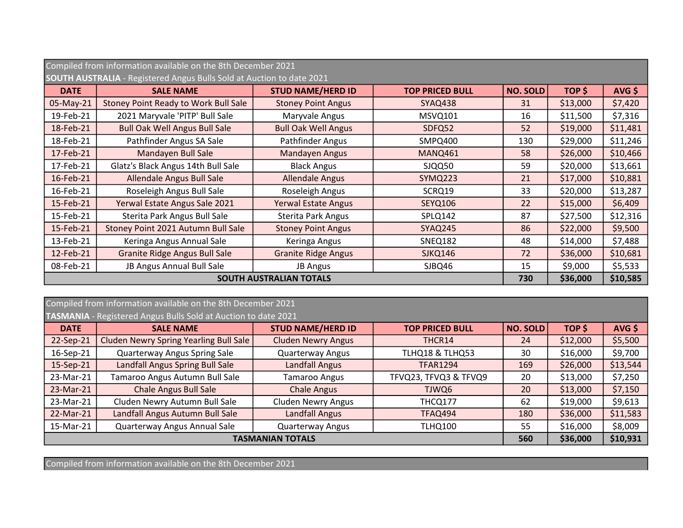|             | Compiled from information available on the 8th December 2021                 |                            |                        |                 |          |          |  |  |
|-------------|------------------------------------------------------------------------------|----------------------------|------------------------|-----------------|----------|----------|--|--|
|             | <b>SOUTH AUSTRALIA</b> - Registered Angus Bulls Sold at Auction to date 2021 |                            |                        |                 |          |          |  |  |
| <b>DATE</b> | <b>SALE NAME</b>                                                             | <b>STUD NAME/HERD ID</b>   | <b>TOP PRICED BULL</b> | <b>NO. SOLD</b> | TOP \$   | $AVG$ \$ |  |  |
| 05-May-21   | Stoney Point Ready to Work Bull Sale                                         | <b>Stoney Point Angus</b>  | <b>SYAQ438</b>         | 31              | \$13,000 | \$7,420  |  |  |
| 19-Feb-21   | 2021 Maryvale 'PITP' Bull Sale                                               | Maryvale Angus             | MSVQ101                | 16              | \$11,500 | \$7,316  |  |  |
| 18-Feb-21   | <b>Bull Oak Well Angus Bull Sale</b>                                         | <b>Bull Oak Well Angus</b> | SDFQ52                 | 52              | \$19,000 | \$11,481 |  |  |
| 18-Feb-21   | Pathfinder Angus SA Sale                                                     | Pathfinder Angus           | SMPQ400                | 130             | \$29,000 | \$11,246 |  |  |
| 17-Feb-21   | Mandayen Bull Sale                                                           | Mandayen Angus             | MANQ461                | 58              | \$26,000 | \$10,466 |  |  |
| 17-Feb-21   | Glatz's Black Angus 14th Bull Sale                                           | <b>Black Angus</b>         | SJQQ50                 | 59              | \$20,000 | \$13,661 |  |  |
| 16-Feb-21   | Allendale Angus Bull Sale                                                    | <b>Allendale Angus</b>     | <b>SYMQ223</b>         | 21              | \$17,000 | \$10,881 |  |  |
| 16-Feb-21   | Roseleigh Angus Bull Sale                                                    | Roseleigh Angus            | SCRQ19                 | 33              | \$20,000 | \$13,287 |  |  |
| 15-Feb-21   | Yerwal Estate Angus Sale 2021                                                | <b>Yerwal Estate Angus</b> | SEYQ106                | 22              | \$15,000 | \$6,409  |  |  |
| 15-Feb-21   | Sterita Park Angus Bull Sale                                                 | <b>Sterita Park Angus</b>  | SPLQ142                | 87              | \$27,500 | \$12,316 |  |  |
| 15-Feb-21   | Stoney Point 2021 Autumn Bull Sale                                           | <b>Stoney Point Angus</b>  | SYAQ245                | 86              | \$22,000 | \$9,500  |  |  |
| 13-Feb-21   | Keringa Angus Annual Sale                                                    | Keringa Angus              | <b>SNEQ182</b>         | 48              | \$14,000 | \$7,488  |  |  |
| 12-Feb-21   | <b>Granite Ridge Angus Bull Sale</b>                                         | <b>Granite Ridge Angus</b> | <b>SJKQ146</b>         | 72              | \$36,000 | \$10,681 |  |  |
| 08-Feb-21   | JB Angus Annual Bull Sale                                                    | <b>JB Angus</b>            | SJBQ46                 | 15              | \$9,000  | \$5,533  |  |  |
|             | <b>SOUTH AUSTRALIAN TOTALS</b>                                               |                            |                        |                 | \$36,000 | \$10,585 |  |  |

|                         | Compiled from information available on the 8th December 2021   |                           |                        |                 |          |          |  |  |
|-------------------------|----------------------------------------------------------------|---------------------------|------------------------|-----------------|----------|----------|--|--|
|                         | TASMANIA - Registered Angus Bulls Sold at Auction to date 2021 |                           |                        |                 |          |          |  |  |
| <b>DATE</b>             | <b>SALE NAME</b>                                               | <b>STUD NAME/HERD ID</b>  | <b>TOP PRICED BULL</b> | <b>NO. SOLD</b> | TOP \$   | $AVG$ \$ |  |  |
| 22-Sep-21               | Cluden Newry Spring Yearling Bull Sale                         | <b>Cluden Newry Angus</b> | THCR14                 | 24              | \$12,000 | \$5,500  |  |  |
| 16-Sep-21               | <b>Quarterway Angus Spring Sale</b>                            | <b>Quarterway Angus</b>   | TLHQ18 & TLHQ53        | 30              | \$16,000 | \$9,700  |  |  |
| 15-Sep-21               | Landfall Angus Spring Bull Sale                                | <b>Landfall Angus</b>     | <b>TFAR1294</b>        | 169             | \$26,000 | \$13,544 |  |  |
| 23-Mar-21               | Tamaroo Angus Autumn Bull Sale                                 | <b>Tamaroo Angus</b>      | TFVQ23, TFVQ3 & TFVQ9  | 20              | \$13,000 | \$7,250  |  |  |
| 23-Mar-21               | <b>Chale Angus Bull Sale</b>                                   | <b>Chale Angus</b>        | TJWQ6                  | 20              | \$13,000 | \$7,150  |  |  |
| 23-Mar-21               | Cluden Newry Autumn Bull Sale                                  | <b>Cluden Newry Angus</b> | THCQ177                | 62              | \$19,000 | \$9,613  |  |  |
| 22-Mar-21               | Landfall Angus Autumn Bull Sale                                | <b>Landfall Angus</b>     | <b>TFAQ494</b>         | 180             | \$36,000 | \$11,583 |  |  |
| 15-Mar-21               | Quarterway Angus Annual Sale                                   | <b>Quarterway Angus</b>   | <b>TLHQ100</b>         | 55              | \$16,000 | \$8,009  |  |  |
| <b>TASMANIAN TOTALS</b> |                                                                |                           |                        | 560             | \$36,000 | \$10,931 |  |  |

Compiled from information available on the 8th December 2021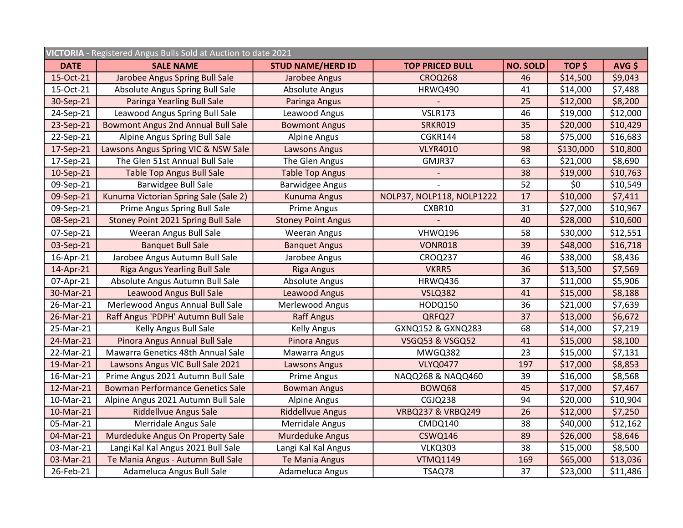| VICTORIA - Registered Angus Bulls Sold at Auction to date 2021 |                                           |                           |                              |                 |           |          |  |  |
|----------------------------------------------------------------|-------------------------------------------|---------------------------|------------------------------|-----------------|-----------|----------|--|--|
| <b>DATE</b>                                                    | <b>SALE NAME</b>                          | <b>STUD NAME/HERD ID</b>  | <b>TOP PRICED BULL</b>       | <b>NO. SOLD</b> | TOP \$    | AVG \$   |  |  |
| 15-Oct-21                                                      | Jarobee Angus Spring Bull Sale            | Jarobee Angus             | <b>CROQ268</b>               | 46              | \$14,500  | \$9,043  |  |  |
| 15-Oct-21                                                      | Absolute Angus Spring Bull Sale           | <b>Absolute Angus</b>     | <b>HRWQ490</b>               | 41              | \$14,000  | \$7,488  |  |  |
| 30-Sep-21                                                      | Paringa Yearling Bull Sale                | Paringa Angus             |                              | 25              | \$12,000  | \$8,200  |  |  |
| 24-Sep-21                                                      | Leawood Angus Spring Bull Sale            | Leawood Angus             | <b>VSLR173</b>               | 46              | \$19,000  | \$12,000 |  |  |
| 23-Sep-21                                                      | <b>Bowmont Angus 2nd Annual Bull Sale</b> | <b>Bowmont Angus</b>      | <b>SRKR019</b>               | 35              | \$20,000  | \$10,429 |  |  |
| 22-Sep-21                                                      | Alpine Angus Spring Bull Sale             | <b>Alpine Angus</b>       | <b>CGKR144</b>               | 58              | \$75,000  | \$16,683 |  |  |
| 17-Sep-21                                                      | Lawsons Angus Spring VIC & NSW Sale       | Lawsons Angus             | <b>VLYR4010</b>              | 98              | \$130,000 | \$10,800 |  |  |
| 17-Sep-21                                                      | The Glen 51st Annual Bull Sale            | The Glen Angus            | GMJR37                       | 63              | \$21,000  | \$8,690  |  |  |
| 10-Sep-21                                                      | <b>Table Top Angus Bull Sale</b>          | <b>Table Top Angus</b>    |                              | 38              | \$19,000  | \$10,763 |  |  |
| 09-Sep-21                                                      | <b>Barwidgee Bull Sale</b>                | <b>Barwidgee Angus</b>    |                              | 52              | \$0       | \$10,549 |  |  |
| 09-Sep-21                                                      | Kunuma Victorian Spring Sale (Sale 2)     | Kunuma Angus              | NOLP37, NOLP118, NOLP1222    | 17              | \$10,000  | \$7,411  |  |  |
| 09-Sep-21                                                      | Prime Angus Spring Bull Sale              | Prime Angus               | CXBR10                       | 31              | \$27,000  | \$10,967 |  |  |
| 08-Sep-21                                                      | Stoney Point 2021 Spring Bull Sale        | <b>Stoney Point Angus</b> |                              | 40              | \$28,000  | \$10,600 |  |  |
| 07-Sep-21                                                      | Weeran Angus Bull Sale                    | <b>Weeran Angus</b>       | VHWQ196                      | 58              | \$30,000  | \$12,551 |  |  |
| 03-Sep-21                                                      | <b>Banquet Bull Sale</b>                  | <b>Banquet Angus</b>      | <b>VONR018</b>               | 39              | \$48,000  | \$16,718 |  |  |
| 16-Apr-21                                                      | Jarobee Angus Autumn Bull Sale            | Jarobee Angus             | CROQ237                      | 46              | \$38,000  | \$8,436  |  |  |
| 14-Apr-21                                                      | <b>Riga Angus Yearling Bull Sale</b>      | <b>Riga Angus</b>         | VKRR5                        | 36              | \$13,500  | \$7,569  |  |  |
| 07-Apr-21                                                      | Absolute Angus Autumn Bull Sale           | <b>Absolute Angus</b>     | <b>HRWQ436</b>               | 37              | \$11,000  | \$5,906  |  |  |
| 30-Mar-21                                                      | <b>Leawood Angus Bull Sale</b>            | Leawood Angus             | <b>VSLQ382</b>               | 41              | \$15,000  | \$8,188  |  |  |
| 26-Mar-21                                                      | Merlewood Angus Annual Bull Sale          | Merlewood Angus           | <b>HODQ150</b>               | 36              | \$21,000  | \$7,639  |  |  |
| 26-Mar-21                                                      | Raff Angus 'PDPH' Autumn Bull Sale        | <b>Raff Angus</b>         | QRFQ27                       | 37              | \$13,000  | \$6,672  |  |  |
| 25-Mar-21                                                      | Kelly Angus Bull Sale                     | <b>Kelly Angus</b>        | GXNQ152 & GXNQ283            | 68              | \$14,000  | \$7,219  |  |  |
| 24-Mar-21                                                      | Pinora Angus Annual Bull Sale             | Pinora Angus              | <b>VSGQ53 &amp; VSGQ52</b>   | 41              | \$15,000  | \$8,100  |  |  |
| 22-Mar-21                                                      | Mawarra Genetics 48th Annual Sale         | Mawarra Angus             | MWGQ382                      | 23              | \$15,000  | \$7,131  |  |  |
| 19-Mar-21                                                      | Lawsons Angus VIC Bull Sale 2021          | Lawsons Angus             | <b>VLYQ0477</b>              | 197             | \$17,000  | \$8,853  |  |  |
| 16-Mar-21                                                      | Prime Angus 2021 Autumn Bull Sale         | Prime Angus               | NAQQ268 & NAQQ460            | 39              | \$16,000  | \$8,568  |  |  |
| 12-Mar-21                                                      | <b>Bowman Performance Genetics Sale</b>   | <b>Bowman Angus</b>       | BOWQ68                       | 45              | \$17,000  | \$7,467  |  |  |
| 10-Mar-21                                                      | Alpine Angus 2021 Autumn Bull Sale        | <b>Alpine Angus</b>       | CGJQ238                      | 94              | \$20,000  | \$10,904 |  |  |
| 10-Mar-21                                                      | <b>Riddellvue Angus Sale</b>              | <b>Riddellvue Angus</b>   | <b>VRBQ237 &amp; VRBQ249</b> | 26              | \$12,000  | \$7,250  |  |  |
| 05-Mar-21                                                      | Merridale Angus Sale                      | Merridale Angus           | CMDQ140                      | 38              | \$40,000  | \$12,162 |  |  |
| 04-Mar-21                                                      | Murdeduke Angus On Property Sale          | Murdeduke Angus           | <b>CSWQ146</b>               | 89              | \$26,000  | \$8,646  |  |  |
| 03-Mar-21                                                      | Langi Kal Kal Angus 2021 Bull Sale        | Langi Kal Kal Angus       | <b>VLKQ303</b>               | 38              | \$15,000  | \$8,500  |  |  |
| 03-Mar-21                                                      | Te Mania Angus - Autumn Bull Sale         | <b>Te Mania Angus</b>     | <b>VTMQ1149</b>              | 169             | \$65,000  | \$13,036 |  |  |
| 26-Feb-21                                                      | Adameluca Angus Bull Sale                 | Adameluca Angus           | TSAQ78                       | 37              | \$23,000  | \$11,486 |  |  |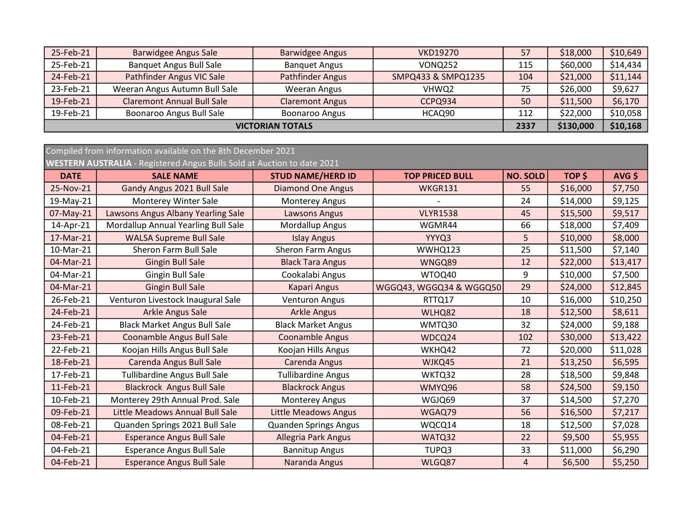| 25-Feb-21               | <b>Barwidgee Angus Sale</b>       | <b>Barwidgee Angus</b> | <b>VKD19270</b>    | 57  | \$18,000  | \$10,649 |
|-------------------------|-----------------------------------|------------------------|--------------------|-----|-----------|----------|
| 25-Feb-21               | <b>Banquet Angus Bull Sale</b>    | <b>Banquet Angus</b>   | <b>VONQ252</b>     | 115 | \$60,000  | \$14,434 |
| 24-Feb-21               | Pathfinder Angus VIC Sale         | Pathfinder Angus       | SMPQ433 & SMPQ1235 | 104 | \$21,000  | \$11,144 |
| 23-Feb-21               | Weeran Angus Autumn Bull Sale     | Weeran Angus           | VHWQ2              | 75  | \$26,000  | \$9,627  |
| 19-Feb-21               | <b>Claremont Annual Bull Sale</b> | <b>Claremont Angus</b> | CCPQ934            | 50  | \$11,500  | \$6,170  |
| 19-Feb-21               | Boonaroo Angus Bull Sale          | Boonaroo Angus         | HCAQ90             | 112 | \$22,000  | \$10,058 |
| <b>VICTORIAN TOTALS</b> |                                   |                        |                    |     | \$130,000 | \$10,168 |

| Compiled from information available on the 8th December 2021 |                                                                         |                              |                         |                 |          |          |  |
|--------------------------------------------------------------|-------------------------------------------------------------------------|------------------------------|-------------------------|-----------------|----------|----------|--|
|                                                              | WESTERN AUSTRALIA - Registered Angus Bulls Sold at Auction to date 2021 |                              |                         |                 |          |          |  |
| <b>DATE</b>                                                  | <b>SALE NAME</b>                                                        | <b>STUD NAME/HERD ID</b>     | <b>TOP PRICED BULL</b>  | <b>NO. SOLD</b> | TOP \$   | $AVG$ \$ |  |
| 25-Nov-21                                                    | Gandy Angus 2021 Bull Sale                                              | <b>Diamond One Angus</b>     | WKGR131                 | 55              | \$16,000 | \$7,750  |  |
| 19-May-21                                                    | Monterey Winter Sale                                                    | <b>Monterey Angus</b>        |                         | 24              | \$14,000 | \$9,125  |  |
| 07-May-21                                                    | Lawsons Angus Albany Yearling Sale                                      | <b>Lawsons Angus</b>         | <b>VLYR1538</b>         | 45              | \$15,500 | \$9,517  |  |
| 14-Apr-21                                                    | Mordallup Annual Yearling Bull Sale                                     | Mordallup Angus              | WGMR44                  | 66              | \$18,000 | \$7,409  |  |
| 17-Mar-21                                                    | <b>WALSA Supreme Bull Sale</b>                                          | <b>Islay Angus</b>           | YYYQ3                   | 5               | \$10,000 | \$8,000  |  |
| 10-Mar-21                                                    | Sheron Farm Bull Sale                                                   | <b>Sheron Farm Angus</b>     | WWHQ123                 | 25              | \$11,500 | \$7,140  |  |
| 04-Mar-21                                                    | <b>Gingin Bull Sale</b>                                                 | <b>Black Tara Angus</b>      | WNGQ89                  | 12              | \$22,000 | \$13,417 |  |
| 04-Mar-21                                                    | Gingin Bull Sale                                                        | Cookalabi Angus              | WTOQ40                  | 9               | \$10,000 | \$7,500  |  |
| 04-Mar-21                                                    | <b>Gingin Bull Sale</b>                                                 | <b>Kapari Angus</b>          | WGGQ43, WGGQ34 & WGGQ50 | 29              | \$24,000 | \$12,845 |  |
| 26-Feb-21                                                    | Venturon Livestock Inaugural Sale                                       | <b>Venturon Angus</b>        | RTTQ17                  | 10              | \$16,000 | \$10,250 |  |
| 24-Feb-21                                                    | Arkle Angus Sale                                                        | <b>Arkle Angus</b>           | WLHQ82                  | 18              | \$12,500 | \$8,611  |  |
| 24-Feb-21                                                    | <b>Black Market Angus Bull Sale</b>                                     | <b>Black Market Angus</b>    | WMTQ30                  | 32              | \$24,000 | \$9,188  |  |
| 23-Feb-21                                                    | <b>Coonamble Angus Bull Sale</b>                                        | <b>Coonamble Angus</b>       | WDCQ24                  | 102             | \$30,000 | \$13,422 |  |
| 22-Feb-21                                                    | Koojan Hills Angus Bull Sale                                            | Koojan Hills Angus           | WKHQ42                  | 72              | \$20,000 | \$11,028 |  |
| 18-Feb-21                                                    | Carenda Angus Bull Sale                                                 | Carenda Angus                | WJKQ45                  | 21              | \$13,250 | \$6,595  |  |
| 17-Feb-21                                                    | <b>Tullibardine Angus Bull Sale</b>                                     | <b>Tullibardine Angus</b>    | WKTQ32                  | 28              | \$18,500 | \$9,848  |  |
| 11-Feb-21                                                    | <b>Blackrock Angus Bull Sale</b>                                        | <b>Blackrock Angus</b>       | WMYQ96                  | 58              | \$24,500 | \$9,150  |  |
| 10-Feb-21                                                    | Monterey 29th Annual Prod. Sale                                         | <b>Monterey Angus</b>        | WGJQ69                  | 37              | \$14,500 | \$7,270  |  |
| 09-Feb-21                                                    | Little Meadows Annual Bull Sale                                         | <b>Little Meadows Angus</b>  | WGAQ79                  | 56              | \$16,500 | \$7,217  |  |
| 08-Feb-21                                                    | Quanden Springs 2021 Bull Sale                                          | <b>Quanden Springs Angus</b> | WQCQ14                  | 18              | \$12,500 | \$7,028  |  |
| 04-Feb-21                                                    | <b>Esperance Angus Bull Sale</b>                                        | Allegria Park Angus          | WATQ32                  | 22              | \$9,500  | \$5,955  |  |
| 04-Feb-21                                                    | <b>Esperance Angus Bull Sale</b>                                        | <b>Bannitup Angus</b>        | TUPQ3                   | 33              | \$11,000 | \$6,290  |  |
| 04-Feb-21                                                    | <b>Esperance Angus Bull Sale</b>                                        | Naranda Angus                | WLGQ87                  | 4               | \$6,500  | \$5,250  |  |